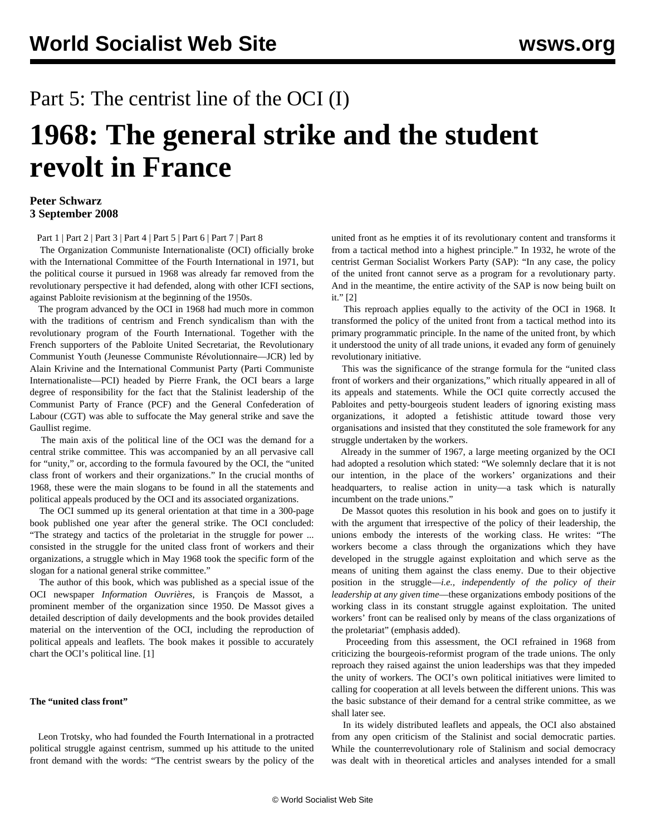## Part 5: The centrist line of the OCI (I)

# **1968: The general strike and the student revolt in France**

#### **Peter Schwarz 3 September 2008**

[Part 1](/en/articles/2008/05/may1-m28.html) | [Part 2](/en/articles/2008/05/may2-m29.html) | [Part 3](/en/articles/2008/07/fra3-j05.html) | [Part 4](/en/articles/2008/07/fra4-j07.html) | [Part 5](/en/articles/2008/09/fran-s04.html) | [Part 6](/en/articles/2008/09/1968-s05.html) | [Part 7](/en/articles/2008/09/1968-s06.html) | [Part 8](/en/articles/2008/09/1968-s08.html)

 The Organization Communiste Internationaliste (OCI) officially broke with the International Committee of the Fourth International in 1971, but the political course it pursued in 1968 was already far removed from the revolutionary perspective it had defended, along with other ICFI sections, against Pabloite revisionism at the beginning of the 1950s.

 The program advanced by the OCI in 1968 had much more in common with the traditions of centrism and French syndicalism than with the revolutionary program of the Fourth International. Together with the French supporters of the Pabloite United Secretariat, the Revolutionary Communist Youth (Jeunesse Communiste Révolutionnaire—JCR) led by Alain Krivine and the International Communist Party (Parti Communiste Internationaliste—PCI) headed by Pierre Frank, the OCI bears a large degree of responsibility for the fact that the Stalinist leadership of the Communist Party of France (PCF) and the General Confederation of Labour (CGT) was able to suffocate the May general strike and save the Gaullist regime.

 The main axis of the political line of the OCI was the demand for a central strike committee. This was accompanied by an all pervasive call for "unity," or, according to the formula favoured by the OCI, the "united class front of workers and their organizations." In the crucial months of 1968, these were the main slogans to be found in all the statements and political appeals produced by the OCI and its associated organizations.

 The OCI summed up its general orientation at that time in a 300-page book published one year after the general strike. The OCI concluded: "The strategy and tactics of the proletariat in the struggle for power ... consisted in the struggle for the united class front of workers and their organizations, a struggle which in May 1968 took the specific form of the slogan for a national general strike committee."

 The author of this book, which was published as a special issue of the OCI newspaper *Information Ouvrières*, is François de Massot, a prominent member of the organization since 1950. De Massot gives a detailed description of daily developments and the book provides detailed material on the intervention of the OCI, including the reproduction of political appeals and leaflets. The book makes it possible to accurately chart the OCI's political line. [1]

#### **The "united class front"**

 Leon Trotsky, who had founded the Fourth International in a protracted political struggle against centrism, summed up his attitude to the united front demand with the words: "The centrist swears by the policy of the united front as he empties it of its revolutionary content and transforms it from a tactical method into a highest principle." In 1932, he wrote of the centrist German Socialist Workers Party (SAP): "In any case, the policy of the united front cannot serve as a program for a revolutionary party. And in the meantime, the entire activity of the SAP is now being built on it." [2]

 This reproach applies equally to the activity of the OCI in 1968. It transformed the policy of the united front from a tactical method into its primary programmatic principle. In the name of the united front, by which it understood the unity of all trade unions, it evaded any form of genuinely revolutionary initiative.

 This was the significance of the strange formula for the "united class front of workers and their organizations," which ritually appeared in all of its appeals and statements. While the OCI quite correctly accused the Pabloites and petty-bourgeois student leaders of ignoring existing mass organizations, it adopted a fetishistic attitude toward those very organisations and insisted that they constituted the sole framework for any struggle undertaken by the workers.

 Already in the summer of 1967, a large meeting organized by the OCI had adopted a resolution which stated: "We solemnly declare that it is not our intention, in the place of the workers' organizations and their headquarters, to realise action in unity—a task which is naturally incumbent on the trade unions."

 De Massot quotes this resolution in his book and goes on to justify it with the argument that irrespective of the policy of their leadership, the unions embody the interests of the working class. He writes: "The workers become a class through the organizations which they have developed in the struggle against exploitation and which serve as the means of uniting them against the class enemy. Due to their objective position in the struggle—*i.e., independently of the policy of their leadership at any given time*—these organizations embody positions of the working class in its constant struggle against exploitation. The united workers' front can be realised only by means of the class organizations of the proletariat" (emphasis added).

 Proceeding from this assessment, the OCI refrained in 1968 from criticizing the bourgeois-reformist program of the trade unions. The only reproach they raised against the union leaderships was that they impeded the unity of workers. The OCI's own political initiatives were limited to calling for cooperation at all levels between the different unions. This was the basic substance of their demand for a central strike committee, as we shall later see.

 In its widely distributed leaflets and appeals, the OCI also abstained from any open criticism of the Stalinist and social democratic parties. While the counterrevolutionary role of Stalinism and social democracy was dealt with in theoretical articles and analyses intended for a small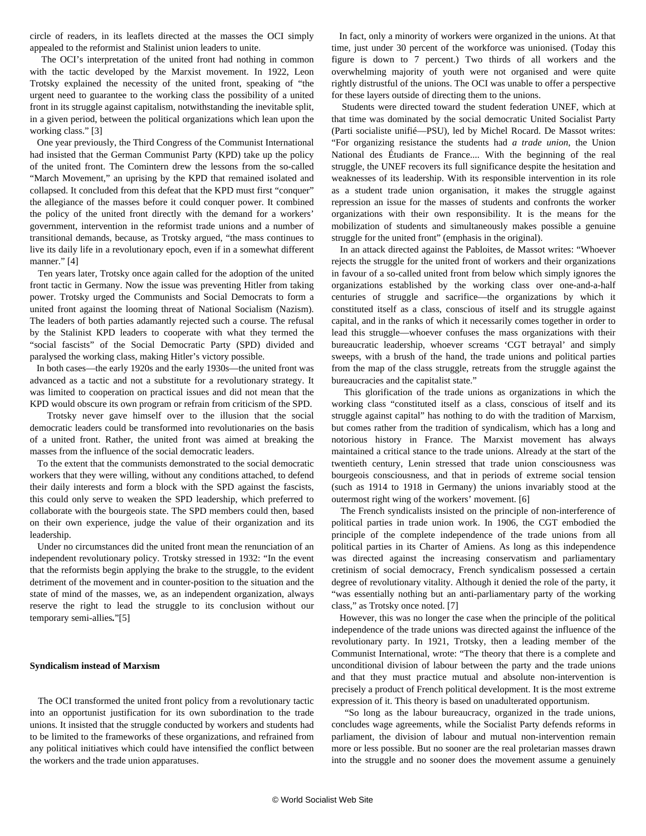circle of readers, in its leaflets directed at the masses the OCI simply appealed to the reformist and Stalinist union leaders to unite.

 The OCI's interpretation of the united front had nothing in common with the tactic developed by the Marxist movement. In 1922, Leon Trotsky explained the necessity of the united front, speaking of "the urgent need to guarantee to the working class the possibility of a united front in its struggle against capitalism, notwithstanding the inevitable split, in a given period, between the political organizations which lean upon the working class." [3]

 One year previously, the Third Congress of the Communist International had insisted that the German Communist Party (KPD) take up the policy of the united front. The Comintern drew the lessons from the so-called "March Movement," an uprising by the KPD that remained isolated and collapsed. It concluded from this defeat that the KPD must first "conquer" the allegiance of the masses before it could conquer power. It combined the policy of the united front directly with the demand for a workers' government, intervention in the reformist trade unions and a number of transitional demands, because, as Trotsky argued, "the mass continues to live its daily life in a revolutionary epoch, even if in a somewhat different manner." [4]

 Ten years later, Trotsky once again called for the adoption of the united front tactic in Germany. Now the issue was preventing Hitler from taking power. Trotsky urged the Communists and Social Democrats to form a united front against the looming threat of National Socialism (Nazism). The leaders of both parties adamantly rejected such a course. The refusal by the Stalinist KPD leaders to cooperate with what they termed the "social fascists" of the Social Democratic Party (SPD) divided and paralysed the working class, making Hitler's victory possible.

 In both cases—the early 1920s and the early 1930s—the united front was advanced as a tactic and not a substitute for a revolutionary strategy. It was limited to cooperation on practical issues and did not mean that the KPD would obscure its own program or refrain from criticism of the SPD.

 Trotsky never gave himself over to the illusion that the social democratic leaders could be transformed into revolutionaries on the basis of a united front. Rather, the united front was aimed at breaking the masses from the influence of the social democratic leaders.

 To the extent that the communists demonstrated to the social democratic workers that they were willing, without any conditions attached, to defend their daily interests and form a block with the SPD against the fascists, this could only serve to weaken the SPD leadership, which preferred to collaborate with the bourgeois state. The SPD members could then, based on their own experience, judge the value of their organization and its leadership.

 Under no circumstances did the united front mean the renunciation of an independent revolutionary policy. Trotsky stressed in 1932: "In the event that the reformists begin applying the brake to the struggle, to the evident detriment of the movement and in counter-position to the situation and the state of mind of the masses, we, as an independent organization, always reserve the right to lead the struggle to its conclusion without our temporary semi-allies*.*"[5]

#### **Syndicalism instead of Marxism**

 The OCI transformed the united front policy from a revolutionary tactic into an opportunist justification for its own subordination to the trade unions. It insisted that the struggle conducted by workers and students had to be limited to the frameworks of these organizations, and refrained from any political initiatives which could have intensified the conflict between the workers and the trade union apparatuses.

 In fact, only a minority of workers were organized in the unions. At that time, just under 30 percent of the workforce was unionised. (Today this figure is down to 7 percent.) Two thirds of all workers and the overwhelming majority of youth were not organised and were quite rightly distrustful of the unions. The OCI was unable to offer a perspective for these layers outside of directing them to the unions.

 Students were directed toward the student federation UNEF, which at that time was dominated by the social democratic United Socialist Party (Parti socialiste unifié—PSU), led by Michel Rocard. De Massot writes: "For organizing resistance the students had *a trade union*, the Union National des Étudiants de France.... With the beginning of the real struggle, the UNEF recovers its full significance despite the hesitation and weaknesses of its leadership. With its responsible intervention in its role as a student trade union organisation, it makes the struggle against repression an issue for the masses of students and confronts the worker organizations with their own responsibility. It is the means for the mobilization of students and simultaneously makes possible a genuine struggle for the united front" (emphasis in the original).

 In an attack directed against the Pabloites, de Massot writes: "Whoever rejects the struggle for the united front of workers and their organizations in favour of a so-called united front from below which simply ignores the organizations established by the working class over one-and-a-half centuries of struggle and sacrifice—the organizations by which it constituted itself as a class, conscious of itself and its struggle against capital, and in the ranks of which it necessarily comes together in order to lead this struggle—whoever confuses the mass organizations with their bureaucratic leadership, whoever screams 'CGT betrayal' and simply sweeps, with a brush of the hand, the trade unions and political parties from the map of the class struggle, retreats from the struggle against the bureaucracies and the capitalist state."

 This glorification of the trade unions as organizations in which the working class "constituted itself as a class, conscious of itself and its struggle against capital" has nothing to do with the tradition of Marxism, but comes rather from the tradition of syndicalism, which has a long and notorious history in France. The Marxist movement has always maintained a critical stance to the trade unions. Already at the start of the twentieth century, Lenin stressed that trade union consciousness was bourgeois consciousness, and that in periods of extreme social tension (such as 1914 to 1918 in Germany) the unions invariably stood at the outermost right wing of the workers' movement. [6]

 The French syndicalists insisted on the principle of non-interference of political parties in trade union work. In 1906, the CGT embodied the principle of the complete independence of the trade unions from all political parties in its Charter of Amiens. As long as this independence was directed against the increasing conservatism and parliamentary cretinism of social democracy, French syndicalism possessed a certain degree of revolutionary vitality. Although it denied the role of the party, it "was essentially nothing but an anti-parliamentary party of the working class," as Trotsky once noted. [7]

 However, this was no longer the case when the principle of the political independence of the trade unions was directed against the influence of the revolutionary party. In 1921, Trotsky, then a leading member of the Communist International, wrote: "The theory that there is a complete and unconditional division of labour between the party and the trade unions and that they must practice mutual and absolute non-intervention is precisely a product of French political development. It is the most extreme expression of it. This theory is based on unadulterated opportunism.

 "So long as the labour bureaucracy, organized in the trade unions, concludes wage agreements, while the Socialist Party defends reforms in parliament, the division of labour and mutual non-intervention remain more or less possible. But no sooner are the real proletarian masses drawn into the struggle and no sooner does the movement assume a genuinely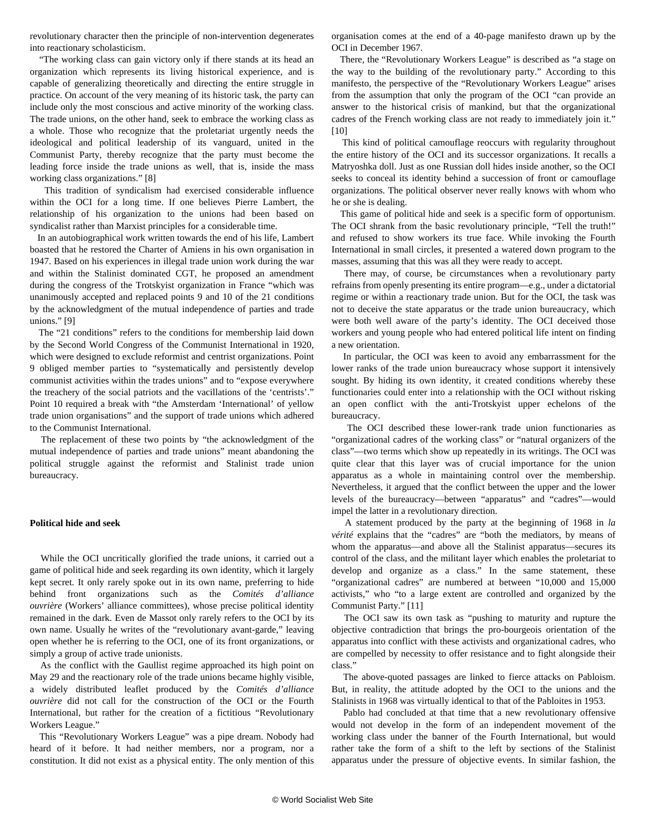revolutionary character then the principle of non-intervention degenerates into reactionary scholasticism.

 "The working class can gain victory only if there stands at its head an organization which represents its living historical experience, and is capable of generalizing theoretically and directing the entire struggle in practice. On account of the very meaning of its historic task, the party can include only the most conscious and active minority of the working class. The trade unions, on the other hand, seek to embrace the working class as a whole. Those who recognize that the proletariat urgently needs the ideological and political leadership of its vanguard, united in the Communist Party, thereby recognize that the party must become the leading force inside the trade unions as well, that is, inside the mass working class organizations." [8]

 This tradition of syndicalism had exercised considerable influence within the OCI for a long time. If one believes Pierre Lambert, the relationship of his organization to the unions had been based on syndicalist rather than Marxist principles for a considerable time.

 In an autobiographical work written towards the end of his life, Lambert boasted that he restored the Charter of Amiens in his own organisation in 1947. Based on his experiences in illegal trade union work during the war and within the Stalinist dominated CGT, he proposed an amendment during the congress of the Trotskyist organization in France "which was unanimously accepted and replaced points 9 and 10 of the 21 conditions by the acknowledgment of the mutual independence of parties and trade unions." [9]

 The "21 conditions" refers to the conditions for membership laid down by the Second World Congress of the Communist International in 1920, which were designed to exclude reformist and centrist organizations. Point 9 obliged member parties to "systematically and persistently develop communist activities within the trades unions" and to "expose everywhere the treachery of the social patriots and the vacillations of the 'centrists'." Point 10 required a break with "the Amsterdam 'International' of yellow trade union organisations" and the support of trade unions which adhered to the Communist International.

 The replacement of these two points by "the acknowledgment of the mutual independence of parties and trade unions" meant abandoning the political struggle against the reformist and Stalinist trade union bureaucracy.

#### **Political hide and seek**

 While the OCI uncritically glorified the trade unions, it carried out a game of political hide and seek regarding its own identity, which it largely kept secret. It only rarely spoke out in its own name, preferring to hide behind front organizations such as the *Comités d'alliance ouvrière* (Workers' alliance committees), whose precise political identity remained in the dark. Even de Massot only rarely refers to the OCI by its own name. Usually he writes of the "revolutionary avant-garde," leaving open whether he is referring to the OCI, one of its front organizations, or simply a group of active trade unionists.

 As the conflict with the Gaullist regime approached its high point on May 29 and the reactionary role of the trade unions became highly visible, a widely distributed leaflet produced by the *Comités d'alliance ouvrière* did not call for the construction of the OCI or the Fourth International, but rather for the creation of a fictitious "Revolutionary Workers League."

 This "Revolutionary Workers League" was a pipe dream. Nobody had heard of it before. It had neither members, nor a program, nor a constitution. It did not exist as a physical entity. The only mention of this organisation comes at the end of a 40-page manifesto drawn up by the OCI in December 1967.

 There, the "Revolutionary Workers League" is described as "a stage on the way to the building of the revolutionary party." According to this manifesto, the perspective of the "Revolutionary Workers League" arises from the assumption that only the program of the OCI "can provide an answer to the historical crisis of mankind, but that the organizational cadres of the French working class are not ready to immediately join it." [10]

 This kind of political camouflage reoccurs with regularity throughout the entire history of the OCI and its successor organizations. It recalls a Matryoshka doll. Just as one Russian doll hides inside another, so the OCI seeks to conceal its identity behind a succession of front or camouflage organizations. The political observer never really knows with whom who he or she is dealing.

 This game of political hide and seek is a specific form of opportunism. The OCI shrank from the basic revolutionary principle, "Tell the truth!" and refused to show workers its true face. While invoking the Fourth International in small circles, it presented a watered down program to the masses, assuming that this was all they were ready to accept.

 There may, of course, be circumstances when a revolutionary party refrains from openly presenting its entire program—e.g., under a dictatorial regime or within a reactionary trade union. But for the OCI, the task was not to deceive the state apparatus or the trade union bureaucracy, which were both well aware of the party's identity. The OCI deceived those workers and young people who had entered political life intent on finding a new orientation.

 In particular, the OCI was keen to avoid any embarrassment for the lower ranks of the trade union bureaucracy whose support it intensively sought. By hiding its own identity, it created conditions whereby these functionaries could enter into a relationship with the OCI without risking an open conflict with the anti-Trotskyist upper echelons of the bureaucracy.

 The OCI described these lower-rank trade union functionaries as "organizational cadres of the working class" or "natural organizers of the class"—two terms which show up repeatedly in its writings. The OCI was quite clear that this layer was of crucial importance for the union apparatus as a whole in maintaining control over the membership. Nevertheless, it argued that the conflict between the upper and the lower levels of the bureaucracy—between "apparatus" and "cadres"—would impel the latter in a revolutionary direction.

 A statement produced by the party at the beginning of 1968 in *la vérité* explains that the "cadres" are "both the mediators, by means of whom the apparatus—and above all the Stalinist apparatus—secures its control of the class, and the militant layer which enables the proletariat to develop and organize as a class." In the same statement, these "organizational cadres" are numbered at between "10,000 and 15,000 activists," who "to a large extent are controlled and organized by the Communist Party." [11]

 The OCI saw its own task as "pushing to maturity and rupture the objective contradiction that brings the pro-bourgeois orientation of the apparatus into conflict with these activists and organizational cadres, who are compelled by necessity to offer resistance and to fight alongside their class."

 The above-quoted passages are linked to fierce attacks on Pabloism. But, in reality, the attitude adopted by the OCI to the unions and the Stalinists in 1968 was virtually identical to that of the Pabloites in 1953.

 Pablo had concluded at that time that a new revolutionary offensive would not develop in the form of an independent movement of the working class under the banner of the Fourth International, but would rather take the form of a shift to the left by sections of the Stalinist apparatus under the pressure of objective events. In similar fashion, the